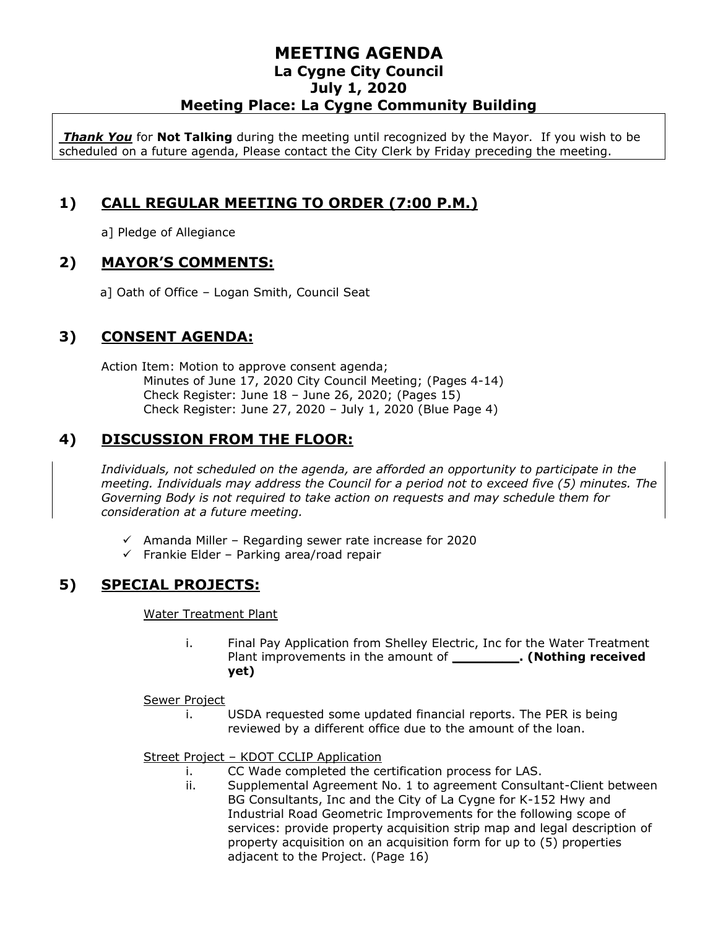### **MEETING AGENDA La Cygne City Council July 1, 2020 Meeting Place: La Cygne Community Building**

*Thank You* for **Not Talking** during the meeting until recognized by the Mayor. If you wish to be scheduled on a future agenda, Please contact the City Clerk by Friday preceding the meeting.

# **1) CALL REGULAR MEETING TO ORDER (7:00 P.M.)**

a] Pledge of Allegiance

### **2) MAYOR'S COMMENTS:**

a] Oath of Office – Logan Smith, Council Seat

## **3) CONSENT AGENDA:**

Action Item: Motion to approve consent agenda; Minutes of June 17, 2020 City Council Meeting; (Pages 4-14) Check Register: June 18 – June 26, 2020; (Pages 15) Check Register: June 27, 2020 – July 1, 2020 (Blue Page 4)

# **4) DISCUSSION FROM THE FLOOR:**

*Individuals, not scheduled on the agenda, are afforded an opportunity to participate in the meeting. Individuals may address the Council for a period not to exceed five (5) minutes. The Governing Body is not required to take action on requests and may schedule them for consideration at a future meeting.* 

- $\checkmark$  Amanda Miller Regarding sewer rate increase for 2020
- ✓ Frankie Elder Parking area/road repair

## **5) SPECIAL PROJECTS:**

Water Treatment Plant

i. Final Pay Application from Shelley Electric, Inc for the Water Treatment Plant improvements in the amount of **\_\_\_\_\_\_\_\_. (Nothing received yet)**

#### Sewer Project

i. USDA requested some updated financial reports. The PER is being reviewed by a different office due to the amount of the loan.

Street Project – KDOT CCLIP Application

- i. CC Wade completed the certification process for LAS.
- ii. Supplemental Agreement No. 1 to agreement Consultant-Client between BG Consultants, Inc and the City of La Cygne for K-152 Hwy and Industrial Road Geometric Improvements for the following scope of services: provide property acquisition strip map and legal description of property acquisition on an acquisition form for up to (5) properties adjacent to the Project. (Page 16)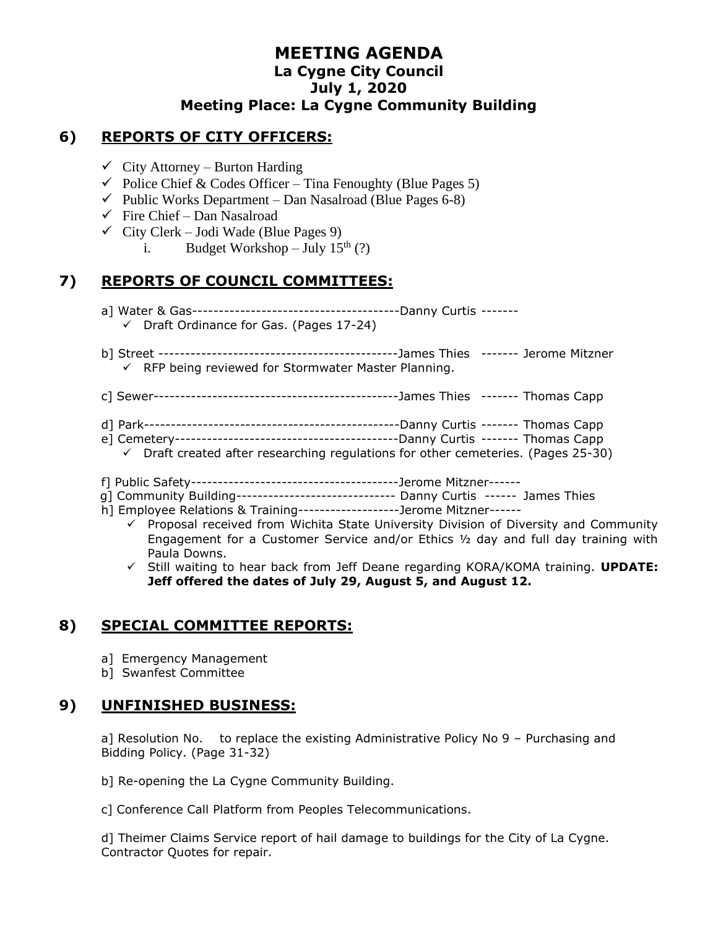### **MEETING AGENDA La Cygne City Council July 1, 2020 Meeting Place: La Cygne Community Building**

### **6) REPORTS OF CITY OFFICERS:**

- $\checkmark$  City Attorney Burton Harding
- $\checkmark$  Police Chief & Codes Officer Tina Fenoughty (Blue Pages 5)
- $\checkmark$  Public Works Department Dan Nasalroad (Blue Pages 6-8)
- $\checkmark$  Fire Chief Dan Nasalroad
- $\checkmark$  City Clerk Jodi Wade (Blue Pages 9)
	- i. Budget Workshop July  $15<sup>th</sup>$  (?)

#### **7) REPORTS OF COUNCIL COMMITTEES:**

- a] Water & Gas---------------------------------------Danny Curtis -------
	- ✓ Draft Ordinance for Gas. (Pages 17-24)
- b] Street ---------------------------------------------James Thies ------- Jerome Mitzner  $\checkmark$  RFP being reviewed for Stormwater Master Planning.
- c] Sewer----------------------------------------------James Thies ------- Thomas Capp
- d] Park------------------------------------------------Danny Curtis ------- Thomas Capp
- e] Cemetery------------------------------------------Danny Curtis ------- Thomas Capp
- $\checkmark$  Draft created after researching regulations for other cemeteries. (Pages 25-30)
- f] Public Safety---------------------------------------Jerome Mitzner------
- g] Community Building------------------------------ Danny Curtis ------ James Thies
- h] Employee Relations & Training-------------------Jerome Mitzner------
	- $\checkmark$  Proposal received from Wichita State University Division of Diversity and Community Engagement for a Customer Service and/or Ethics ½ day and full day training with Paula Downs.
	- ✓ Still waiting to hear back from Jeff Deane regarding KORA/KOMA training. **UPDATE: Jeff offered the dates of July 29, August 5, and August 12.**

## **8) SPECIAL COMMITTEE REPORTS:**

- a] Emergency Management
- b] Swanfest Committee

### **9) UNFINISHED BUSINESS:**

a] Resolution No. to replace the existing Administrative Policy No 9 – Purchasing and Bidding Policy. (Page 31-32)

- b] Re-opening the La Cygne Community Building.
- c] Conference Call Platform from Peoples Telecommunications.

d] Theimer Claims Service report of hail damage to buildings for the City of La Cygne. Contractor Quotes for repair.